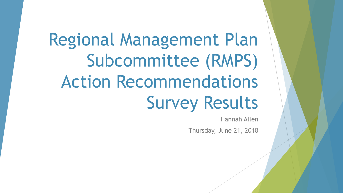Regional Management Plan Subcommittee (RMPS) Action Recommendations Survey Results

Hannah Allen

Thursday, June 21, 2018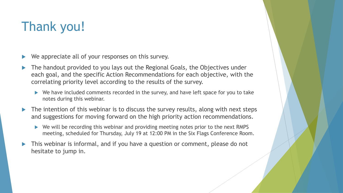#### Thank you!

- We appreciate all of your responses on this survey.
- The handout provided to you lays out the Regional Goals, the Objectives under each goal, and the specific Action Recommendations for each objective, with the correlating priority level according to the results of the survey.
	- We have included comments recorded in the survey, and have left space for you to take notes during this webinar.
- The intention of this webinar is to discuss the survey results, along with next steps and suggestions for moving forward on the high priority action recommendations.
	- ▶ We will be recording this webinar and providing meeting notes prior to the next RMPS meeting, scheduled for Thursday, July 19 at 12:00 PM in the Six Flags Conference Room.
- This webinar is informal, and if you have a question or comment, please do not hesitate to jump in.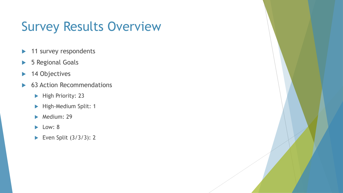#### Survey Results Overview

- 11 survey respondents
- ▶ 5 Regional Goals
- ▶ 14 Objectives
- ▶ 63 Action Recommendations
	- High Priority: 23
	- High-Medium Split: 1
	- $\blacktriangleright$  Medium: 29
	- $\blacktriangleright$  Low: 8
	- Even Split  $(3/3/3)$ : 2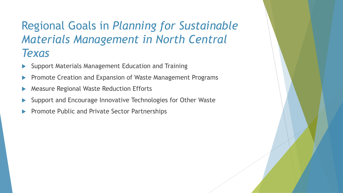#### Regional Goals in *Planning for Sustainable Materials Management in North Central Texas*

- Support Materials Management Education and Training
- Promote Creation and Expansion of Waste Management Programs
- Measure Regional Waste Reduction Efforts
- Support and Encourage Innovative Technologies for Other Waste
- Promote Public and Private Sector Partnerships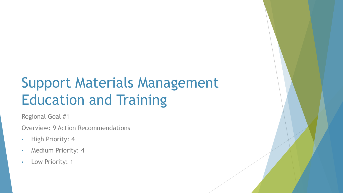Regional Goal #1

Overview: 9 Action Recommendations

- High Priority: 4
- Medium Priority: 4
- Low Priority: 1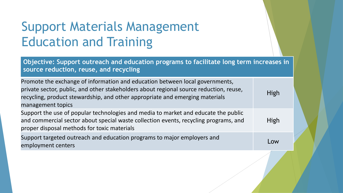**Objective: Support outreach and education programs to facilitate long term increases in source reduction, reuse, and recycling**

| Promote the exchange of information and education between local governments,<br>private sector, public, and other stakeholders about regional source reduction, reuse,<br>recycling, product stewardship, and other appropriate and emerging materials<br>management topics | <b>High</b> |
|-----------------------------------------------------------------------------------------------------------------------------------------------------------------------------------------------------------------------------------------------------------------------------|-------------|
| Support the use of popular technologies and media to market and educate the public<br>and commercial sector about special waste collection events, recycling programs, and<br>proper disposal methods for toxic materials                                                   | High        |
| Support targeted outreach and education programs to major employers and<br>employment centers                                                                                                                                                                               | Low         |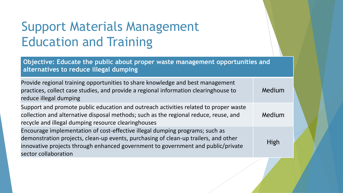**Objective: Educate the public about proper waste management opportunities and alternatives to reduce illegal dumping**

| Provide regional training opportunities to share knowledge and best management<br>practices, collect case studies, and provide a regional information clearinghouse to<br>reduce illegal dumping                                                                                | Medium |
|---------------------------------------------------------------------------------------------------------------------------------------------------------------------------------------------------------------------------------------------------------------------------------|--------|
| Support and promote public education and outreach activities related to proper waste<br>collection and alternative disposal methods; such as the regional reduce, reuse, and<br>recycle and illegal dumping resource clearinghouses                                             | Medium |
| Encourage implementation of cost-effective illegal dumping programs; such as<br>demonstration projects, clean-up events, purchasing of clean-up trailers, and other<br>innovative projects through enhanced government to government and public/private<br>sector collaboration | High   |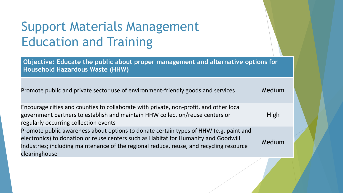**Objective: Educate the public about proper management and alternative options for Household Hazardous Waste (HHW)**

| Promote public and private sector use of environment-friendly goods and services                                                                                                                                                                                                         | Medium      |
|------------------------------------------------------------------------------------------------------------------------------------------------------------------------------------------------------------------------------------------------------------------------------------------|-------------|
| Encourage cities and counties to collaborate with private, non-profit, and other local<br>government partners to establish and maintain HHW collection/reuse centers or<br>regularly occurring collection events                                                                         | <b>High</b> |
| Promote public awareness about options to donate certain types of HHW (e.g. paint and<br>electronics) to donation or reuse centers such as Habitat for Humanity and Goodwill<br>Industries; including maintenance of the regional reduce, reuse, and recycling resource<br>clearinghouse | Medium      |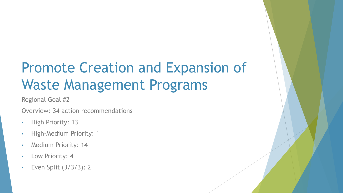Regional Goal #2

Overview: 34 action recommendations

- High Priority: 13
- High-Medium Priority: 1
- Medium Priority: 14
- Low Priority: 4
- Even Split (3/3/3): 2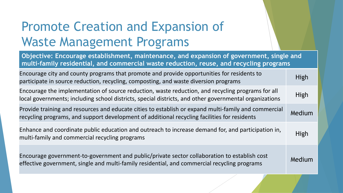**Objective: Encourage establishment, maintenance, and expansion of government, single and multi-family residential, and commercial waste reduction, reuse, and recycling programs** Encourage city and county programs that promote and provide opportunities for residents to participate in source reduction, recycling, composting, and waste diversion programs Encourage the implementation of source reduction, waste reduction, and recycling programs for all Lifedings are imprementation of source readerion, waste readerion, and recyting programs for an High<br>local governments; including school districts, special districts, and other governmental organizations Provide training and resources and educate cities to establish or expand multi-family and commercial recycling programs, and support development of additional recycling facilities for residents Medium Enhance and coordinate public education and outreach to increase demand for, and participation in, multi-family and commercial recycling programs due to mercure demand for, and participation in High Encourage government-to-government and public/private sector collaboration to establish cost effective government to government and pashe, private sector condisoration to establish tost Medium<br>effective government, single and multi-family residential, and commercial recycling programs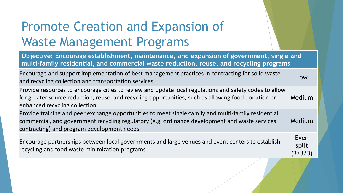**Objective: Encourage establishment, maintenance, and expansion of government, single and multi-family residential, and commercial waste reduction, reuse, and recycling programs**

| Encourage and support implementation of best management practices in contracting for solid waste<br>and recycling collection and transportation services                                                                                             | Low                      |
|------------------------------------------------------------------------------------------------------------------------------------------------------------------------------------------------------------------------------------------------------|--------------------------|
| Provide resources to encourage cities to review and update local regulations and safety codes to allow<br>for greater source reduction, reuse, and recycling opportunities; such as allowing food donation or<br>enhanced recycling collection       | Medium                   |
| Provide training and peer exchange opportunities to meet single-family and multi-family residential,<br>commercial, and government recycling regulatory (e.g. ordinance development and waste services<br>contracting) and program development needs | Medium                   |
| Encourage partnerships between local governments and large venues and event centers to establish<br>recycling and food waste minimization programs                                                                                                   | Even<br>split<br>(3/3/3) |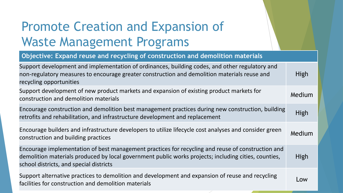#### **Objective: Expand reuse and recycling of construction and demolition materials**

| Support development and implementation of ordinances, building codes, and other regulatory and<br>non-regulatory measures to encourage greater construction and demolition materials reuse and<br>recycling opportunities                            | High        |
|------------------------------------------------------------------------------------------------------------------------------------------------------------------------------------------------------------------------------------------------------|-------------|
| Support development of new product markets and expansion of existing product markets for<br>construction and demolition materials                                                                                                                    | Medium      |
| Encourage construction and demolition best management practices during new construction, building<br>retrofits and rehabilitation, and infrastructure development and replacement                                                                    | <b>High</b> |
| Encourage builders and infrastructure developers to utilize lifecycle cost analyses and consider green<br>construction and building practices                                                                                                        | Medium      |
| Encourage implementation of best management practices for recycling and reuse of construction and<br>demolition materials produced by local government public works projects; including cities, counties,<br>school districts, and special districts | High        |
| Support alternative practices to demolition and development and expansion of reuse and recycling<br>facilities for construction and demolition materials                                                                                             | Low         |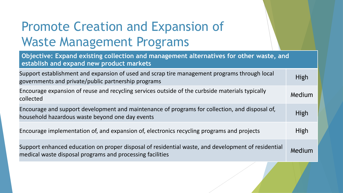| Objective: Expand existing collection and management alternatives for other waste, and<br>establish and expand new product markets                              |             |
|-----------------------------------------------------------------------------------------------------------------------------------------------------------------|-------------|
| Support establishment and expansion of used and scrap tire management programs through local<br>governments and private/public partnership programs             | <b>High</b> |
| Encourage expansion of reuse and recycling services outside of the curbside materials typically<br>collected                                                    | Medium      |
| Encourage and support development and maintenance of programs for collection, and disposal of,<br>household hazardous waste beyond one day events               | High        |
| Encourage implementation of, and expansion of, electronics recycling programs and projects                                                                      | High        |
| Support enhanced education on proper disposal of residential waste, and development of residential<br>medical waste disposal programs and processing facilities | Medium      |
|                                                                                                                                                                 |             |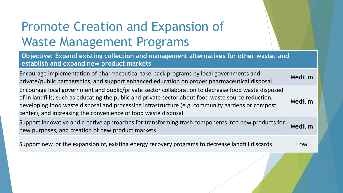**Objective: Expand existing collection and management alternatives for other waste, and establish and expand new product markets**

| Encourage implementation of pharmaceutical take-back programs by local governments and<br>private/public partnerships, and support enhanced education on proper pharmaceutical disposal                                                                                                                                                                                        | Medium |
|--------------------------------------------------------------------------------------------------------------------------------------------------------------------------------------------------------------------------------------------------------------------------------------------------------------------------------------------------------------------------------|--------|
| Encourage local government and public/private sector collaboration to decrease food waste disposed<br>of in landfills; such as educating the public and private sector about food waste source reduction,<br>developing food waste disposal and processing infrastructure (e.g. community gardens or compost<br>center), and increasing the convenience of food waste disposal | Medium |
| Support innovative and creative approaches for transforming trash components into new products for<br>new purposes, and creation of new product markets                                                                                                                                                                                                                        | Medium |
| Support new, or the expansion of, existing energy recovery programs to decrease landfill discards                                                                                                                                                                                                                                                                              | Low    |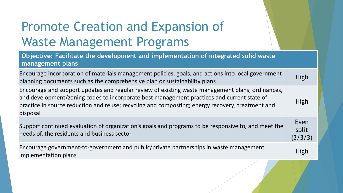**Objective: Facilitate the development and implementation of integrated solid waste management plans**

| Encourage incorporation of materials management policies, goals, and actions into local government<br>planning documents such as the comprehensive plan or sustainability plans                                                                                                                                | <b>High</b>              |
|----------------------------------------------------------------------------------------------------------------------------------------------------------------------------------------------------------------------------------------------------------------------------------------------------------------|--------------------------|
| Encourage and support updates and regular review of existing waste management plans, ordinances,<br>and development/zoning codes to incorporate best management practices and current state of<br>practice in source reduction and reuse; recycling and composting; energy recovery; treatment and<br>disposal | High                     |
| Support continued evaluation of organization's goals and programs to be responsive to, and meet the<br>needs of, the residents and business sector                                                                                                                                                             | Even<br>split<br>(3/3/3) |
| Encourage government-to-government and public/private partnerships in waste management<br>implementation plans                                                                                                                                                                                                 | <b>High</b>              |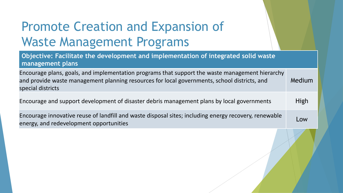**Objective: Facilitate the development and implementation of integrated solid waste management plans**

Encourage plans, goals, and implementation programs that support the waste management hierarchy and provide waste management planning resources for local governments, school districts, and special districts Medium

Encourage and support development of disaster debris management plans by local governments High

Encourage innovative reuse of landfill and waste disposal sites; including energy recovery, renewable energy, and redevelopment opportunities Low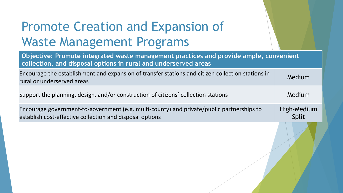| Objective: Promote integrated waste management practices and provide ample, convenient<br>collection, and disposal options in rural and underserved areas |                             |
|-----------------------------------------------------------------------------------------------------------------------------------------------------------|-----------------------------|
| Encourage the establishment and expansion of transfer stations and citizen collection stations in<br>rural or underserved areas                           | Medium                      |
| Support the planning, design, and/or construction of citizens' collection stations                                                                        | Medium                      |
| Encourage government-to-government (e.g. multi-county) and private/public partnerships to<br>establish cost-effective collection and disposal options     | High-Medium<br><b>Split</b> |
|                                                                                                                                                           |                             |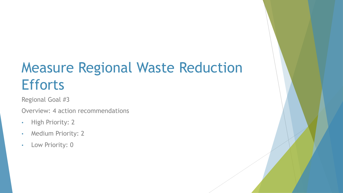# Measure Regional Waste Reduction **Efforts**

Regional Goal #3

Overview: 4 action recommendations

- High Priority: 2
- Medium Priority: 2
- Low Priority: 0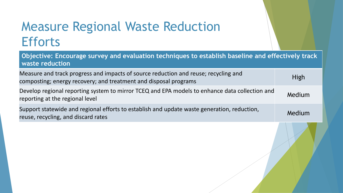#### Measure Regional Waste Reduction **Efforts**

| Objective: Encourage survey and evaluation techniques to establish baseline and effectively track<br>waste reduction                                    |        |
|---------------------------------------------------------------------------------------------------------------------------------------------------------|--------|
| Measure and track progress and impacts of source reduction and reuse; recycling and<br>composting; energy recovery; and treatment and disposal programs | High   |
| Develop regional reporting system to mirror TCEQ and EPA models to enhance data collection and<br>reporting at the regional level                       | Medium |
| Support statewide and regional efforts to establish and update waste generation, reduction,<br>reuse, recycling, and discard rates                      | Medium |
|                                                                                                                                                         |        |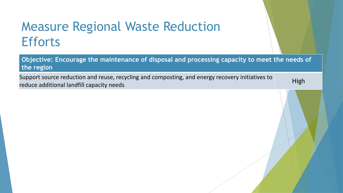#### Measure Regional Waste Reduction **Efforts**

**Objective: Encourage the maintenance of disposal and processing capacity to meet the needs of the region**

Support source reduction and reuse, recycling and composting, and energy recovery initiatives to reduce additional landfill capacity needs<br>reduce additional landfill capacity needs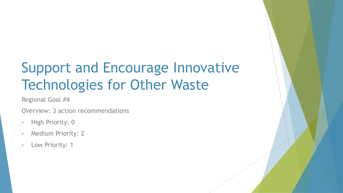## Support and Encourage Innovative Technologies for Other Waste

Regional Goal #4

Overview: 3 action recommendations

- High Priority: 0
- Medium Priority: 2
- Low Priority: 1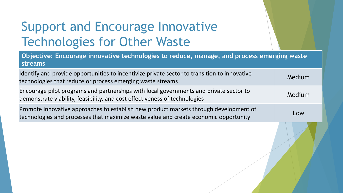## Support and Encourage Innovative Technologies for Other Waste

| Objective: Encourage innovative technologies to reduce, manage, and process emerging waste<br><b>streams</b>                                                                  |        |
|-------------------------------------------------------------------------------------------------------------------------------------------------------------------------------|--------|
| Identify and provide opportunities to incentivize private sector to transition to innovative<br>technologies that reduce or process emerging waste streams                    | Medium |
| Encourage pilot programs and partnerships with local governments and private sector to<br>demonstrate viability, feasibility, and cost effectiveness of technologies          | Medium |
| Promote innovative approaches to establish new product markets through development of<br>technologies and processes that maximize waste value and create economic opportunity | Low    |
|                                                                                                                                                                               |        |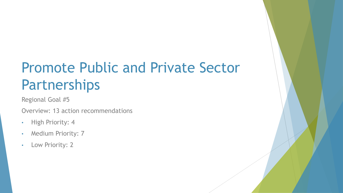Regional Goal #5

Overview: 13 action recommendations

- High Priority: 4
- Medium Priority: 7
- Low Priority: 2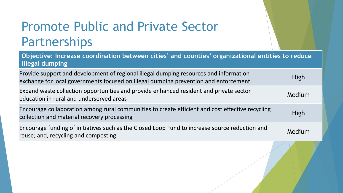**Objective: Increase coordination between cities' and counties' organizational entities to reduce illegal dumping**

| Provide support and development of regional illegal dumping resources and information<br>exchange for local governments focused on illegal dumping prevention and enforcement | <b>High</b> |
|-------------------------------------------------------------------------------------------------------------------------------------------------------------------------------|-------------|
| Expand waste collection opportunities and provide enhanced resident and private sector<br>education in rural and underserved areas                                            | Medium      |
| Encourage collaboration among rural communities to create efficient and cost effective recycling<br>collection and material recovery processing                               | <b>High</b> |
| Encourage funding of initiatives such as the Closed Loop Fund to increase source reduction and<br>reuse; and, recycling and composting                                        | Medium      |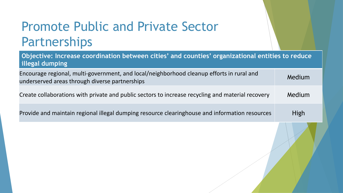| Objective: Increase coordination between cities' and counties' organizational entities to reduce<br>illegal dumping                         |        |
|---------------------------------------------------------------------------------------------------------------------------------------------|--------|
| Encourage regional, multi-government, and local/neighborhood cleanup efforts in rural and<br>underserved areas through diverse partnerships | Medium |
| Create collaborations with private and public sectors to increase recycling and material recovery                                           | Medium |
| Provide and maintain regional illegal dumping resource clearinghouse and information resources                                              | High   |
|                                                                                                                                             |        |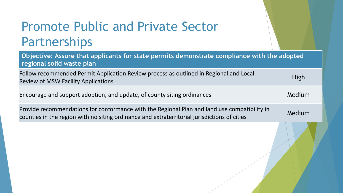| Objective: Assure that applicants for state permits demonstrate compliance with the adopted<br>regional solid waste plan                                                                     |             |
|----------------------------------------------------------------------------------------------------------------------------------------------------------------------------------------------|-------------|
| Follow recommended Permit Application Review process as outlined in Regional and Local<br><b>Review of MSW Facility Applications</b>                                                         | <b>High</b> |
| Encourage and support adoption, and update, of county siting ordinances                                                                                                                      | Medium      |
| Provide recommendations for conformance with the Regional Plan and land use compatibility in<br>counties in the region with no siting ordinance and extraterritorial jurisdictions of cities | Medium      |
|                                                                                                                                                                                              |             |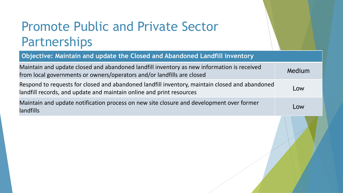**Objective: Maintain and update the Closed and Abandoned Landfill inventory**

| Maintain and update closed and abandoned landfill inventory as new information is received<br>from local governments or owners/operators and/or landfills are closed   | Medium |
|------------------------------------------------------------------------------------------------------------------------------------------------------------------------|--------|
| Respond to requests for closed and abandoned landfill inventory, maintain closed and abandoned<br>landfill records, and update and maintain online and print resources | Low    |
| Maintain and update notification process on new site closure and development over former<br>landfills                                                                  | Low    |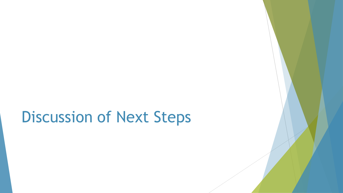# Discussion of Next Steps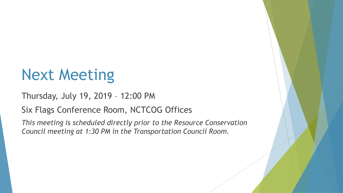# Next Meeting

Thursday, July 19, 2019 – 12:00 PM

Six Flags Conference Room, NCTCOG Offices

*This meeting is scheduled directly prior to the Resource Conservation Council meeting at 1:30 PM in the Transportation Council Room.*